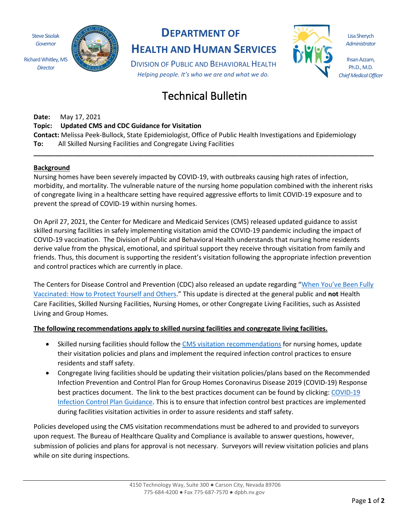Steve Sisolak *Governor*

*Director*



# **DEPARTMENT OF**

**HEALTH AND HUMAN SERVICES**

DIVISION OF PUBLIC AND BEHAVIORAL HEALTH *Helping people. It's who we are and what we do.*

# Technical Bulletin

**Date:** May 17, 2021

## **Topic: Updated CMS and CDC Guidance for Visitation**

**Contact:** Melissa Peek-Bullock, State Epidemiologist, Office of Public Health Investigations and Epidemiology **To:** All Skilled Nursing Facilities and Congregate Living Facilities

## **Background**

Nursing homes have been severely impacted by COVID-19, with outbreaks causing high rates of infection, morbidity, and mortality. The vulnerable nature of the nursing home population combined with the inherent risks of congregate living in a healthcare setting have required aggressive efforts to limit COVID-19 exposure and to prevent the spread of COVID-19 within nursing homes.

**\_\_\_\_\_\_\_\_\_\_\_\_\_\_\_\_\_\_\_\_\_\_\_\_\_\_\_\_\_\_\_\_\_\_\_\_\_\_\_\_\_\_\_\_\_\_\_\_\_\_\_\_\_\_\_\_\_\_\_\_\_\_\_\_\_\_\_\_\_\_\_\_\_\_\_\_\_\_\_\_\_\_\_\_\_\_\_\_\_\_\_\_\_**

On April 27, 2021, the Center for Medicare and Medicaid Services (CMS) released updated guidance to assist skilled nursing facilities in safely implementing visitation amid the COVID-19 pandemic including the impact of COVID-19 vaccination. The Division of Public and Behavioral Health understands that nursing home residents derive value from the physical, emotional, and spiritual support they receive through visitation from family and friends. Thus, this document is supporting the resident's visitation following the appropriate infection prevention and control practices which are currently in place.

The Centers for Disease Control and Prevention (CDC) also released an update regarding "When You've Been Fully [Vaccinated: How to Protect Yourself and Others.](https://www.cdc.gov/coronavirus/2019-ncov/vaccines/fully-vaccinated.html)" This update is directed at the general public and **not** Health Care Facilities, Skilled Nursing Facilities, Nursing Homes, or other Congregate Living Facilities, such as Assisted Living and Group Homes.

## **The following recommendations apply to skilled nursing facilities and congregate living facilities.**

- Skilled nursing facilities should follow the [CMS visitation recommendations](https://www.cms.gov/files/document/qso-20-39-nh-revised.pdf) for nursing homes, update their visitation policies and plans and implement the required infection control practices to ensure residents and staff safety.
- Congregate living facilities should be updating their visitation policies/plans based on the Recommended Infection Prevention and Control Plan for Group Homes Coronavirus Disease 2019 (COVID-19) Response best practices document. The link to the best practices document can be found by clicking: [COVID-19](http://dpbh.nv.gov/assistedliving/) [Infection Control Plan Guidance.](http://dpbh.nv.gov/assistedliving/) This is to ensure that infection control best practices are implemented during facilities visitation activities in order to assure residents and staff safety.

Policies developed using the CMS visitation recommendations must be adhered to and provided to surveyors upon request. The Bureau of Healthcare Quality and Compliance is available to answer questions, however, submission of policies and plans for approval is not necessary. Surveyors will review visitation policies and plans while on site during inspections.

Lisa Sherych *Administrator*

Ihsan Azzam, Ph.D., M.D. *Chief Medical Officer*